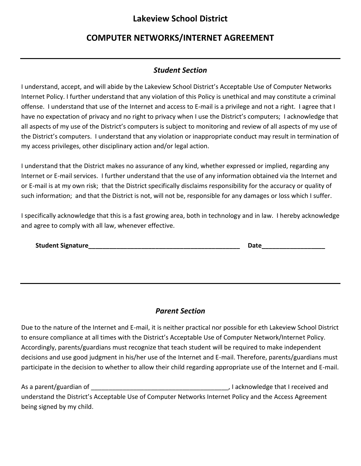## **Lakeview School District**

## **COMPUTER NETWORKS/INTERNET AGREEMENT**

## *Student Section*

I understand, accept, and will abide by the Lakeview School District's Acceptable Use of Computer Networks Internet Policy. I further understand that any violation of this Policy is unethical and may constitute a criminal offense. I understand that use of the Internet and access to E-mail is a privilege and not a right. I agree that I have no expectation of privacy and no right to privacy when I use the District's computers; I acknowledge that all aspects of my use of the District's computers is subject to monitoring and review of all aspects of my use of the District's computers. I understand that any violation or inappropriate conduct may result in termination of my access privileges, other disciplinary action and/or legal action.

I understand that the District makes no assurance of any kind, whether expressed or implied, regarding any Internet or E-mail services. I further understand that the use of any information obtained via the Internet and or E-mail is at my own risk; that the District specifically disclaims responsibility for the accuracy or quality of such information; and that the District is not, will not be, responsible for any damages or loss which I suffer.

I specifically acknowledge that this is a fast growing area, both in technology and in law. I hereby acknowledge and agree to comply with all law, whenever effective.

| <b>Student Signature</b> | Date |
|--------------------------|------|
|                          |      |

## *Parent Section*

Due to the nature of the Internet and E-mail, it is neither practical nor possible for eth Lakeview School District to ensure compliance at all times with the District's Acceptable Use of Computer Network/Internet Policy. Accordingly, parents/guardians must recognize that teach student will be required to make independent decisions and use good judgment in his/her use of the Internet and E-mail. Therefore, parents/guardians must participate in the decision to whether to allow their child regarding appropriate use of the Internet and E-mail.

As a parent/guardian of \_\_\_\_\_\_\_\_\_\_\_\_\_\_\_\_\_\_\_\_\_\_\_\_\_\_\_\_\_\_\_\_\_\_\_\_\_\_\_, I acknowledge that I received and understand the District's Acceptable Use of Computer Networks Internet Policy and the Access Agreement being signed by my child.